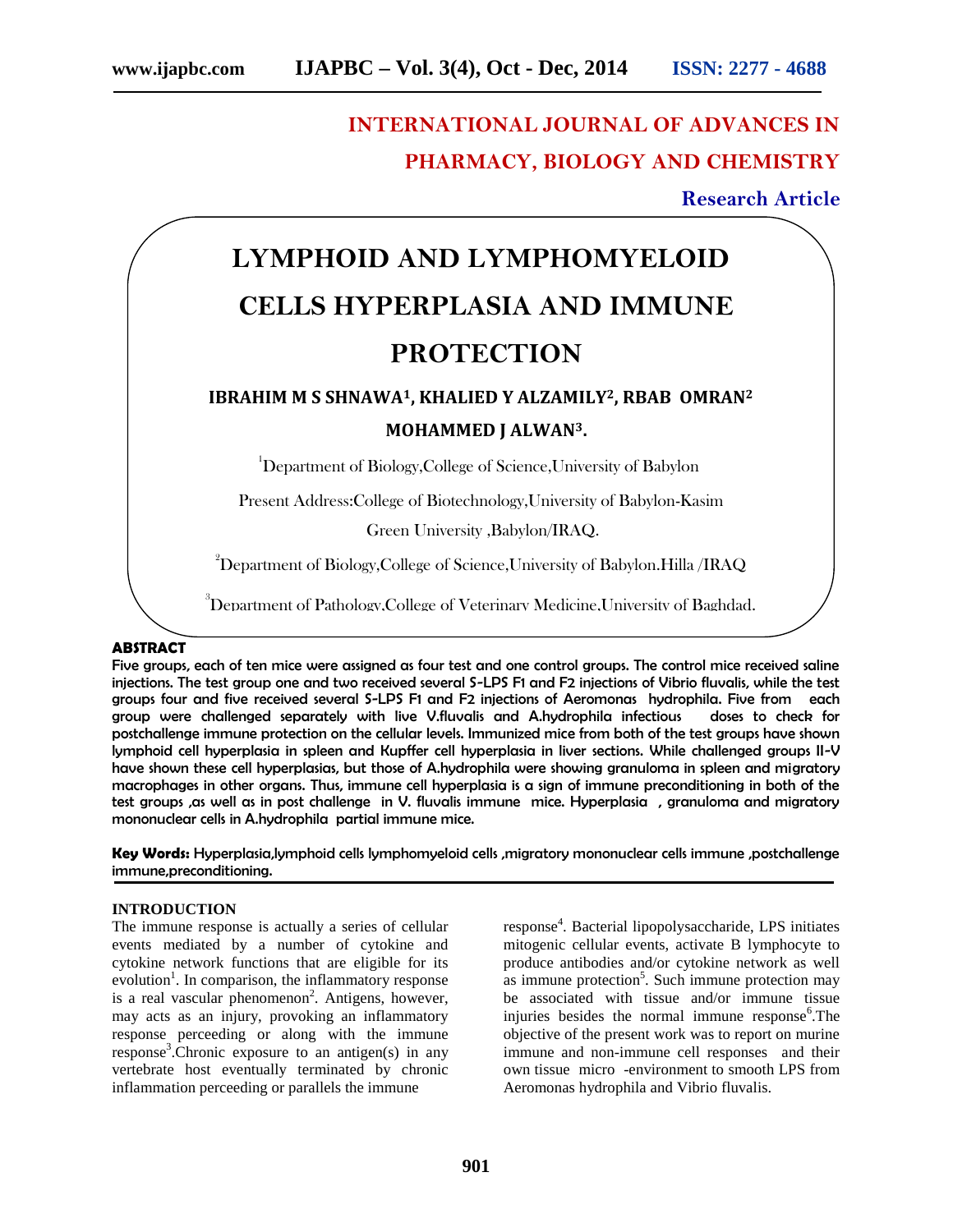## **INTERNATIONAL JOURNAL OF ADVANCES IN PHARMACY, BIOLOGY AND CHEMISTRY**

#### **Research Article**

# **LYMPHOID AND LYMPHOMYELOID CELLS HYPERPLASIA AND IMMUNE PROTECTION**

### **IBRAHIM M S SHNAWA1, KHALIED Y ALZAMILY2, RBAB OMRAN<sup>2</sup> MOHAMMED J ALWAN3.**

<sup>1</sup>Department of Biology,College of Science,University of Babylon

Present Address:College of Biotechnology,University of Babylon-Kasim

Green University ,Babylon/IRAQ.

 $^{2}$ Department of Biology,College of Science,University of Babylon.Hilla */IRAQ* 

<sup>3</sup>Department of Pathology,College of Veterinary Medicine,University of Baghdad.

#### **ABSTRACT**

Five groups, each of ten mice were assigned as four test and one control groups. The control mice received saline injections. The test group one and two received several S-LPS F1 and F2 injections of Vibrio fluvalis, while the test groups four and five received several S-LPS F1 and F2 injections of Aeromonas hydrophila. Five from each group were challenged separately with live V.fluvalis and A.hydrophila infectious doses to check for postchallenge immune protection on the cellular levels. Immunized mice from both of the test groups have shown lymphoid cell hyperplasia in spleen and Kupffer cell hyperplasia in liver sections. While challenged groups II-V have shown these cell hyperplasias, but those of A.hydrophila were showing granuloma in spleen and migratory macrophages in other organs. Thus, immune cell hyperplasia is a sign of immune preconditioning in both of the test groups ,as well as in post challenge in V. fluvalis immune mice. Hyperplasia, granuloma and migratory mononuclear cells in A.hydrophila partial immune mice.

**Key Words:** Hyperplasia,lymphoid cells lymphomyeloid cells ,migratory mononuclear cells immune ,postchallenge immune,preconditioning.

#### **INTRODUCTION**

The immune response is actually a series of cellular events mediated by a number of cytokine and cytokine network functions that are eligible for its evolution<sup>1</sup>. In comparison, the inflammatory response is a real vascular phenomenon<sup>2</sup>. Antigens, however, may acts as an injury, provoking an inflammatory response perceeding or along with the immune response<sup>3</sup>. Chronic exposure to an antigen(s) in any vertebrate host eventually terminated by chronic inflammation perceeding or parallels the immune

response<sup>4</sup>. Bacterial lipopolysaccharide, LPS initiates mitogenic cellular events, activate B lymphocyte to produce antibodies and/or cytokine network as well as immune protection<sup>5</sup>. Such immune protection may be associated with tissue and/or immune tissue injuries besides the normal immune response<sup>6</sup>. The objective of the present work was to report on murine immune and non-immune cell responses and their own tissue micro -environment to smooth LPS from Aeromonas hydrophila and Vibrio fluvalis.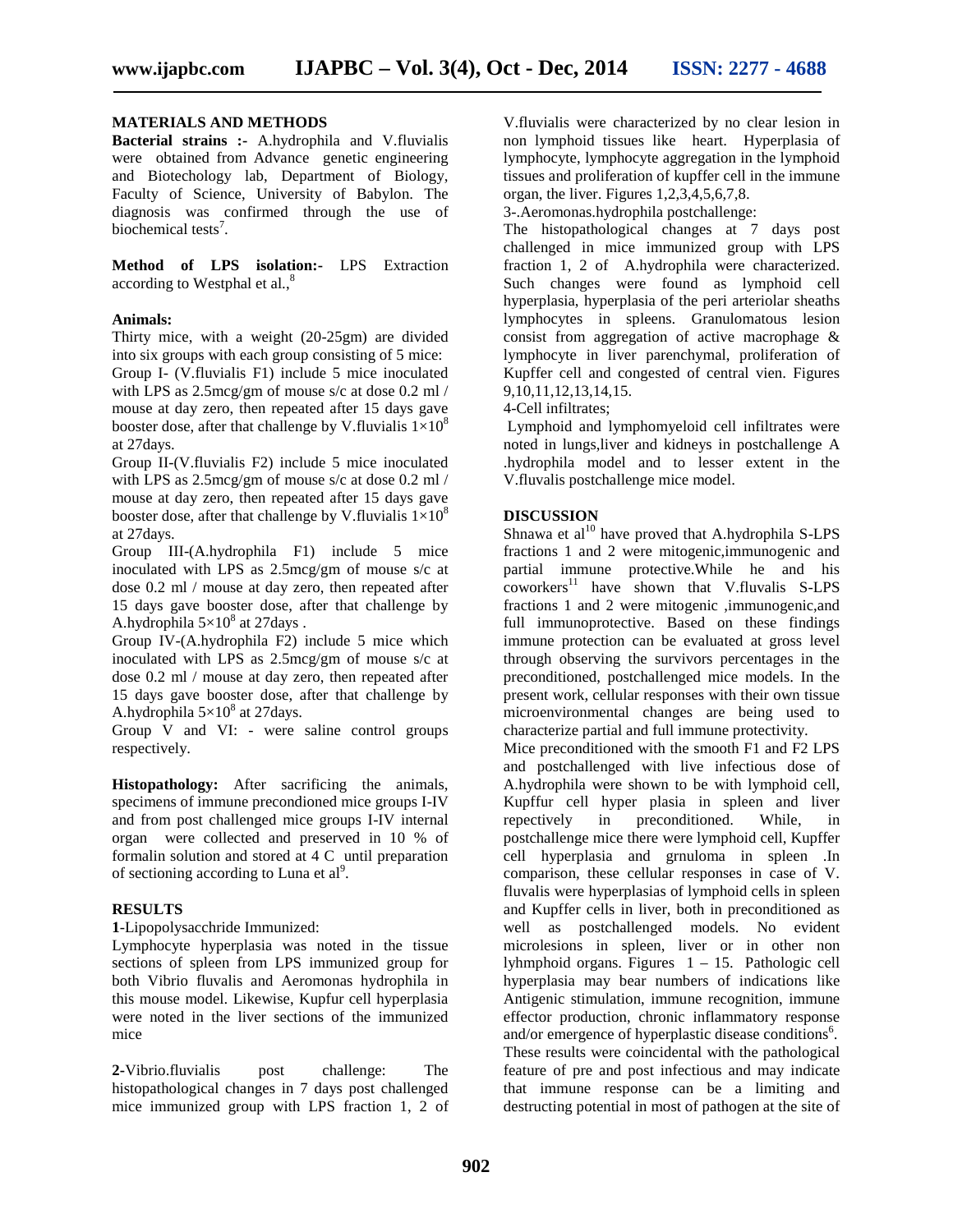#### **MATERIALS AND METHODS**

**Bacterial strains :-** A.hydrophila and V.fluvialis were obtained from Advance genetic engineering and Biotechology lab, Department of Biology, Faculty of Science, University of Babylon. The diagnosis was confirmed through the use of biochemical tests<sup>7</sup>.

**Method of LPS isolation:-** LPS Extraction according to Westphal et al.,<sup>8</sup>

#### **Animals:**

Thirty mice, with a weight (20-25gm) are divided into six groups with each group consisting of 5 mice: Group I- (V.fluvialis F1) include 5 mice inoculated with LPS as 2.5mcg/gm of mouse s/c at dose 0.2 ml / mouse at day zero, then repeated after 15 days gave booster dose, after that challenge by V.fluvialis  $1\times10^8$ at 27days.

Group II-(V.fluvialis F2) include 5 mice inoculated with LPS as 2.5mcg/gm of mouse s/c at dose 0.2 ml / mouse at day zero, then repeated after 15 days gave booster dose, after that challenge by V.fluvialis  $1\times10^8$ at 27days.

Group III-(A.hydrophila F1) include 5 mice inoculated with LPS as 2.5mcg/gm of mouse s/c at dose 0.2 ml / mouse at day zero, then repeated after 15 days gave booster dose, after that challenge by A.hydrophila  $5\times10^8$  at 27 days.

Group IV-(A.hydrophila F2) include 5 mice which inoculated with LPS as 2.5mcg/gm of mouse s/c at dose 0.2 ml / mouse at day zero, then repeated after 15 days gave booster dose, after that challenge by A.hydrophila  $5\times10^8$  at 27days.

Group V and VI: - were saline control groups respectively.

**Histopathology:** After sacrificing the animals, specimens of immune precondioned mice groups I-IV and from post challenged mice groups I-IV internal organ were collected and preserved in 10 % of formalin solution and stored at 4 C until preparation of sectioning according to Luna et  $al^9$ .

#### **RESULTS**

**1**-Lipopolysacchride Immunized:

Lymphocyte hyperplasia was noted in the tissue sections of spleen from LPS immunized group for both Vibrio fluvalis and Aeromonas hydrophila in this mouse model. Likewise, Kupfur cell hyperplasia were noted in the liver sections of the immunized mice

**2-**Vibrio.fluvialis post challenge: The histopathological changes in 7 days post challenged mice immunized group with LPS fraction 1, 2 of

V.fluvialis were characterized by no clear lesion in non lymphoid tissues like heart. Hyperplasia of lymphocyte, lymphocyte aggregation in the lymphoid tissues and proliferation of kupffer cell in the immune organ, the liver. Figures 1,2,3,4,5,6,7,8.

3-.Aeromonas.hydrophila postchallenge:

The histopathological changes at 7 days post challenged in mice immunized group with LPS fraction 1, 2 of A.hydrophila were characterized. Such changes were found as lymphoid cell hyperplasia, hyperplasia of the peri arteriolar sheaths lymphocytes in spleens. Granulomatous lesion consist from aggregation of active macrophage & lymphocyte in liver parenchymal, proliferation of Kupffer cell and congested of central vien. Figures 9,10,11,12,13,14,15.

#### 4-Cell infiltrates;

Lymphoid and lymphomyeloid cell infiltrates were noted in lungs,liver and kidneys in postchallenge A .hydrophila model and to lesser extent in the V.fluvalis postchallenge mice model.

#### **DISCUSSION**

Shnawa et  $al^{10}$  have proved that A.hydrophila S-LPS fractions 1 and 2 were mitogenic,immunogenic and partial immune protective.While he and his  $coworkers<sup>11</sup>$  have shown that V.fluvalis S-LPS fractions 1 and 2 were mitogenic ,immunogenic,and full immunoprotective. Based on these findings immune protection can be evaluated at gross level through observing the survivors percentages in the preconditioned, postchallenged mice models. In the present work, cellular responses with their own tissue microenvironmental changes are being used to characterize partial and full immune protectivity.

Mice preconditioned with the smooth F1 and F2 LPS and postchallenged with live infectious dose of A.hydrophila were shown to be with lymphoid cell, Kupffur cell hyper plasia in spleen and liver repectively in preconditioned. While, in postchallenge mice there were lymphoid cell, Kupffer cell hyperplasia and grnuloma in spleen .In comparison, these cellular responses in case of V. fluvalis were hyperplasias of lymphoid cells in spleen and Kupffer cells in liver, both in preconditioned as well as postchallenged models. No evident microlesions in spleen, liver or in other non lyhmphoid organs. Figures 1 – 15. Pathologic cell hyperplasia may bear numbers of indications like Antigenic stimulation, immune recognition, immune effector production, chronic inflammatory response and/or emergence of hyperplastic disease conditions<sup>6</sup>. These results were coincidental with the pathological feature of pre and post infectious and may indicate that immune response can be a limiting and destructing potential in most of pathogen at the site of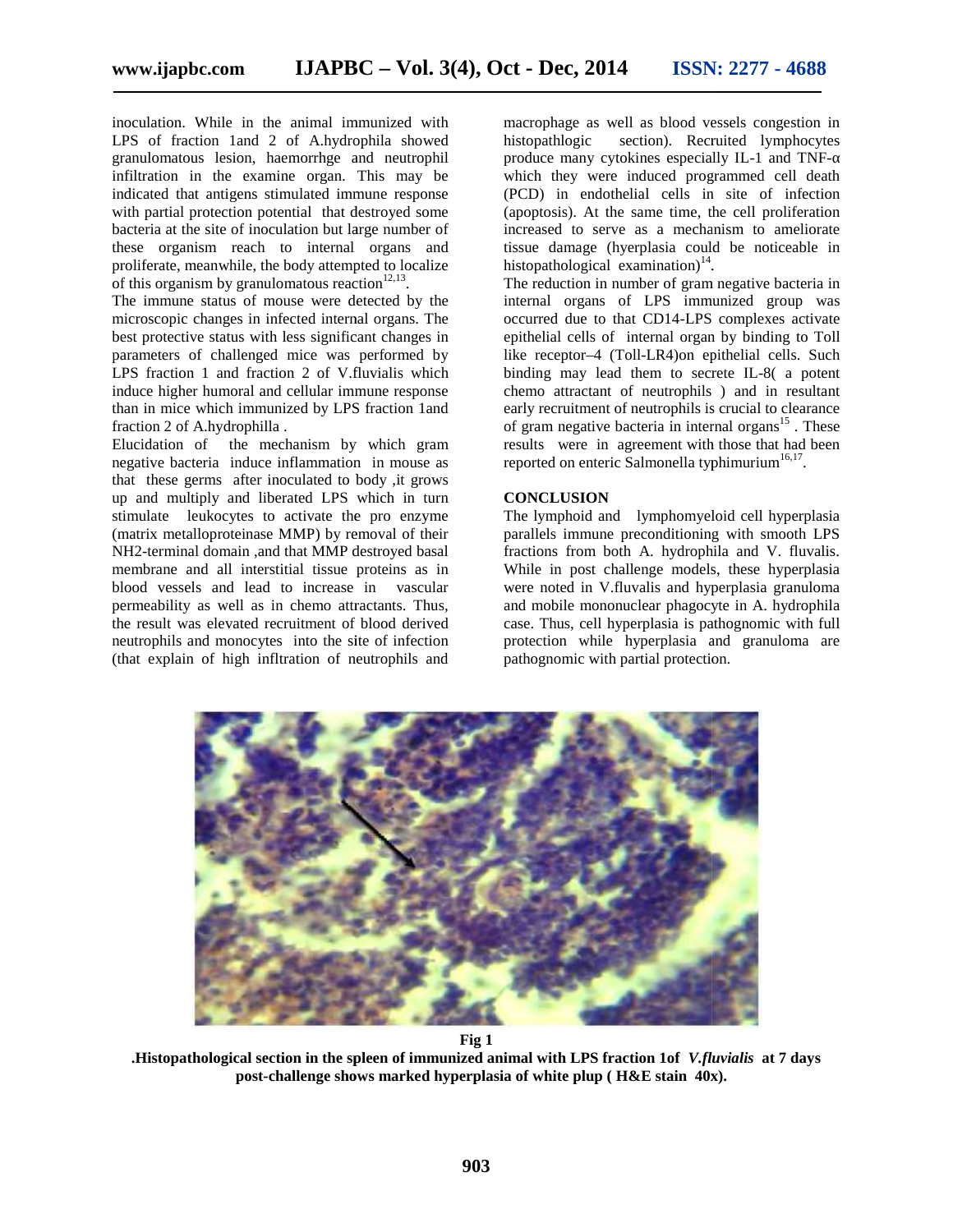inoculation. While in the animal immunized with LPS of fraction 1and 2 of A.hydrophila showed histopathlogic granulomatous lesion, haemorrhge and neutrophil infiltration in the examine organ. This may be indicated that antigens stimulated immune response with partial protection potential that destroyed some bacteria at the site of inoculation but large number of these organism reach to internal organs and proliferate, meanwhile, the body attempted to localize of this organism by granulomatous reaction $12,13$ . lation. While in the animal immunized with<br>of fraction 1 and 2 of A.hydrophila showed<br>lomatous lesion, haemorrhge and neutrophil<br>ation in the examine organ. This may be<br>ted that antigens stimulated immune response<br>partial

The immune status of mouse were detected by the microscopic changes in infected internal organs. The best protective status with less significant changes in parameters of challenged mice was performed by LPS fraction 1 and fraction 2 of V.fluvialis which induce higher humoral and cellular immune response than in mice which immunized by LPS fraction 1and fraction 2 of A.hydrophilla . e status of mouse were detected by the<br>changes in infected internal organs. The<br>ve status with less significant changes in<br>of challenged mice was performed by<br>1 1 and fraction 2 of V.fluvialis which<br>er humoral and cellular

Elucidation of the mechanism by which gram negative bacteria induce inflammation in mouse as that these germs after inoculated to body ,it grows up and multiply and liberated LPS which in turn stimulate leukocytes to activate the pro enzyme (matrix metalloproteinase MMP) by removal of their NH2-terminal domain ,and that MMP destroyed basal membrane and all interstitial tissue proteins as in blood vessels and lead to increase in vascular permeability as well as in chemo attractants. Thus, the result was elevated recruitment of blood derived neutrophils and monocytes into the site of infection (that explain of high infltration of neutrophils and than in mice which immunized by LPS fraction 1 and<br>fraction 2 of A.hydrophilla .<br>Elucidation of the mechanism by which gram<br>negative bacteria induce inflammation in mouse as<br>that these germs after inoculated to body , it g macrophage as well as blood vessels congestion in section). Recruited lymphocytes produce many cytokines especially IL-1 and TNF which they were induced programmed cell death

(PCD) in endothelial cells in site of infection (apoptosis). At the same time, the cell proliferation increased to serve as a mechanism to ameliorate tissue damage (hyerplasia could be noticeable in histopathological examination)<sup>14</sup>.

The reduction in number of gram negative bacteria in internal organs of LPS immunized group was occurred due to that CD14-LPS complexes activate epithelial cells of internal organ by binding to Toll like receptor–4 (Toll-LR4)on epithelial cells. Such binding may lead them to secrete IL-8( a potent chemo attractant of neutrophils ) and in resultant early recruitment of neutrophils is crucial to clearance of gram negative bacteria in internal organs $15$ . These results were in agreement with those that had been reported on enteric Salmonella typhimurium<sup>16,17</sup>. White in the animal rammarized with the macrophing as well as blood vessels congestion in the animal information and particular in the bits in the modernic station, has<br>mentioned and monocytes itsing many in the scanne co internal organs of LPS immunized group was<br>occurred due to that CD14-LPS complexes activate<br>epithelial cells of internal organ by binding to Toll<br>like receptor-4 (Toll-LR4)on epithelial cells. Such<br>binding may lead them to

#### **CONCLUSION**

The lymphoid and lymphomyeloid cell hyperplasia parallels immune preconditioning with smooth LPS fractions from both A. hydrophila and V. fluvalis. While in post challenge models, these hyperplasia were noted in V.fluvalis and hyperplasia granuloma and mobile mononuclear phagocyte in A. hydrophila case. Thus, cell hyperplasia is pathognomic with full protection while hyperplasia and granuloma are pathognomic with partial protection.



**Fig 1**

**.Histopathological section in the spleen of immunized animal with LPS fraction 1of** *V.fluvialis* **at 7 days post-challenge shows marked hyperplasia of white plup ( H&E stain 40x).**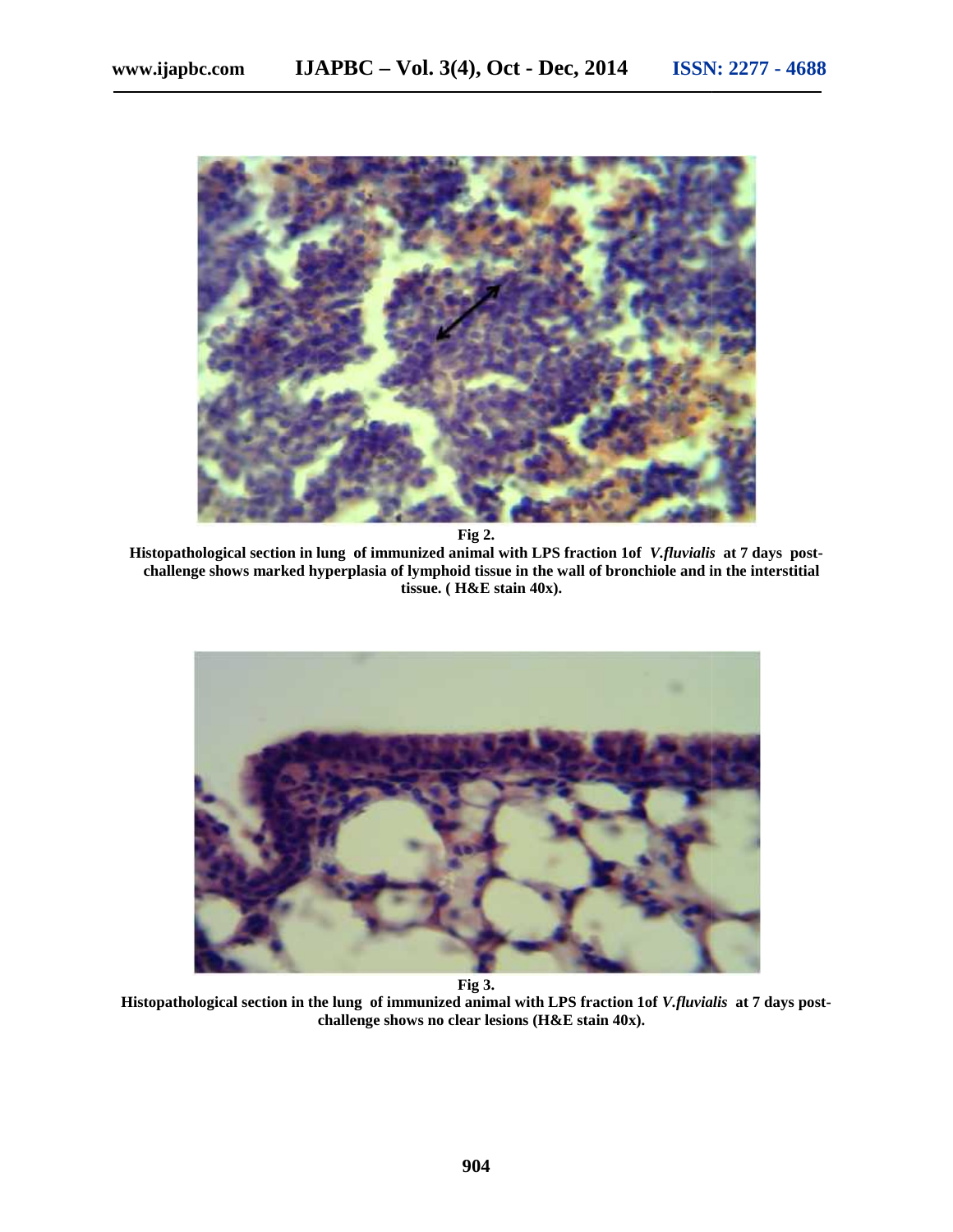

**Fig 2.**

**Histopathological section in lung of immunized animal with LPS fraction 1of** *V.fluvialis* **at 7 days post- 2.in LPS** *V.fluvialis*challenge shows marked hyperplasia of lymphoid tissue in the wall of bronchiole and in the interstitial tissue. (H&E stain 40x). **tissue. ( H&E stain 40x).**



**Fig 3. 3.**

**Histopathological section in the lung of immunized animal with LPS fraction 1of** *V.fluvialis* **at 7 days post-** *V.fluvialis***challenge shows no clear lesions (H&E stain 40x). clear lesions**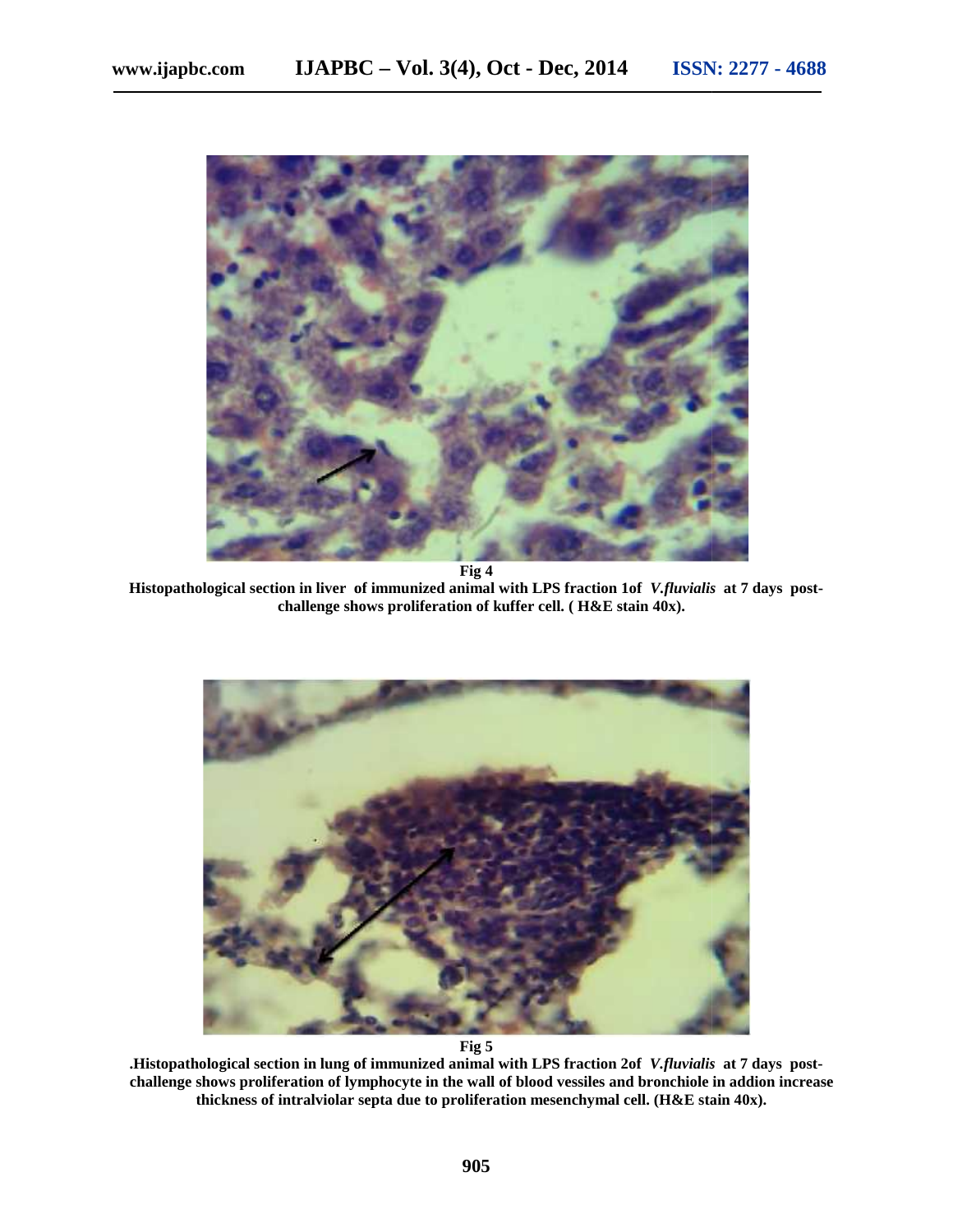

**Fig 4 Histopathological section in liver of immunized animal with LPS fraction 1of** *V.fluvialis* **at 7 days post- Histopathological in of immunized animal 1ofdays challenge shows proliferation of kuffer cell. ( H&E stain 40x).**



**Fig 5**

**.Histopathological section in lung of immunized animal with LPS fraction 2of** *V.fluvialis* **at 7 days post** challenge shows proliferation of lymphocyte in the wall of blood vessiles and bronchiole in addion increase **thickness of intralviolar septa due to proliferation mesenchymal cell. (H&E stain 40x).**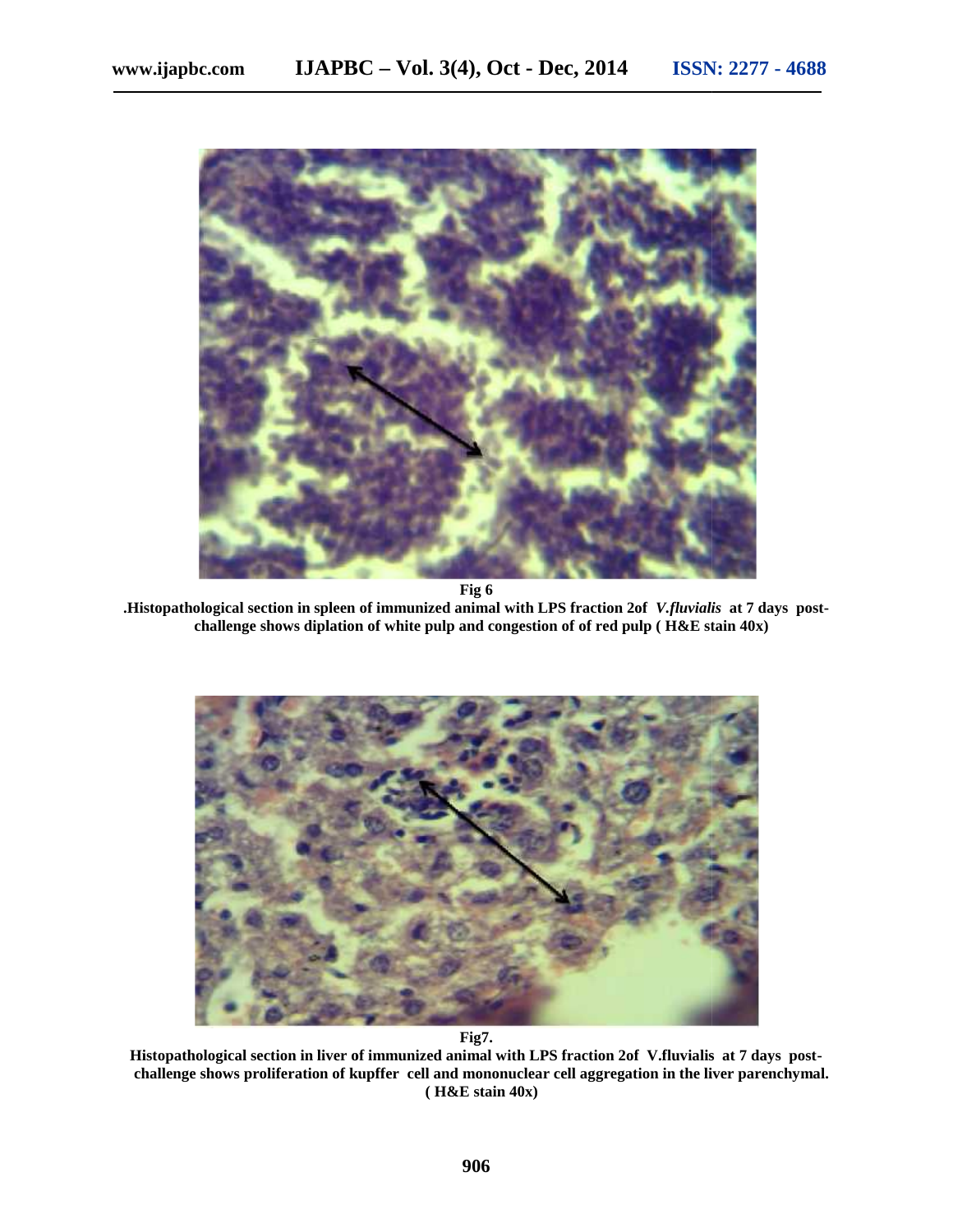

**Fig 6 .Histopathological section in spleen of immunized animal with LPS fraction 2of** *V.fluvialis* **at 7 days post challenge shows diplation of white pulp and congestion of of red pulp ( H&E stain 40x)**



**Fig7.**

**Histopathological section in liver of immunized animal with LPS fraction 2of V.fluvialis at 7 days post challenge shows proliferation of kupffer cell and mononuclear cell aggregation in the liver parenchymal. ( H&E stain 40x)**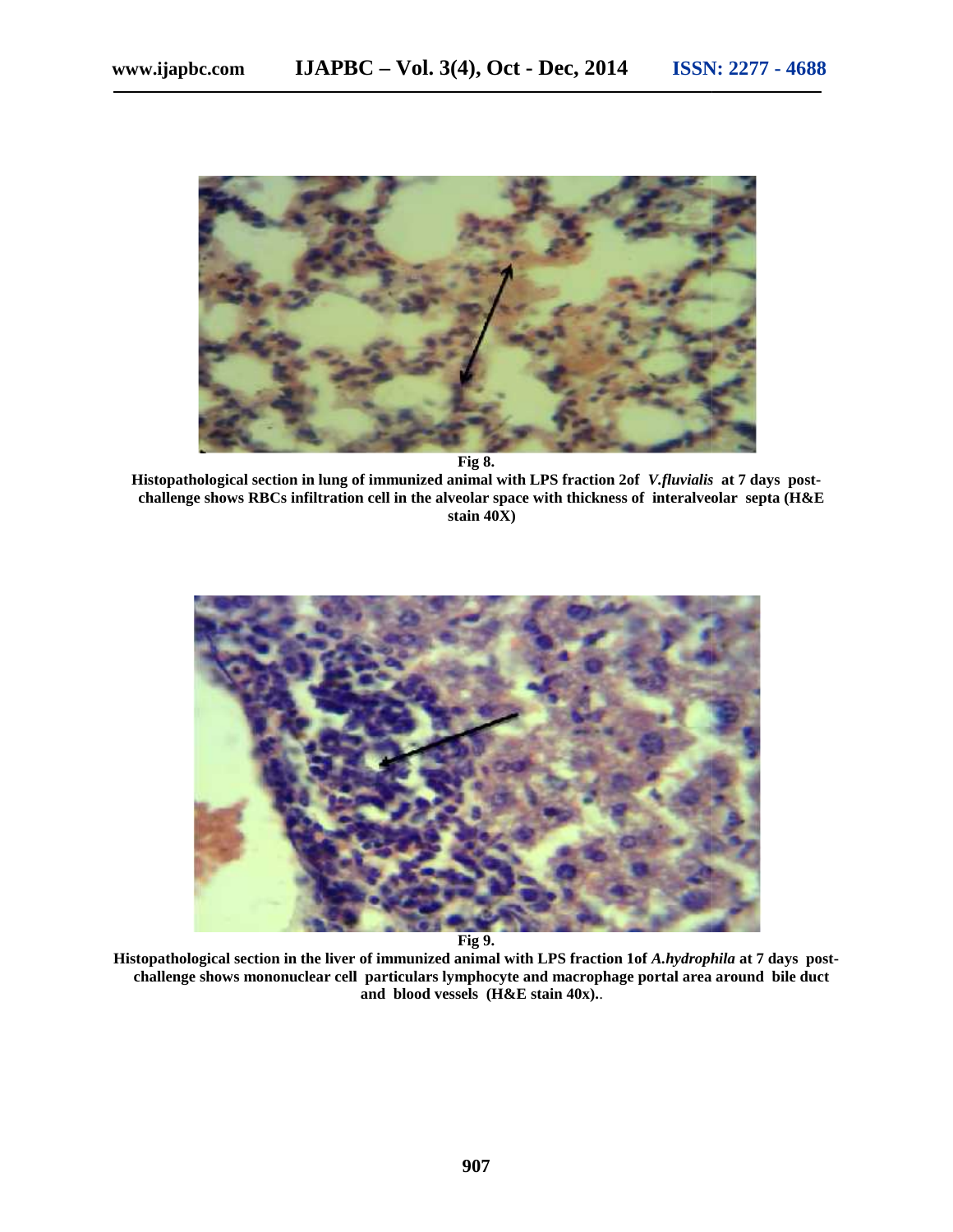

**Fig 8.**

**Histopathological section in lung of immunized animal with LPS fraction 2of** *V.fluvialis* **at 7 days post challenge shows RBCs infiltration cell in the alveolar space with thickness of interalveolar septa (H&E stain 40X)**



**Fig 9.**

**Histopathological section in the liver of immunized animal with LPS fraction 1of** *A.hydrophila* **at 7 days post challenge shows mononuclear cell particulars lymphocyte and macrophage portal area around bile duct shows and blood vessels (H&E stain 40x).**. .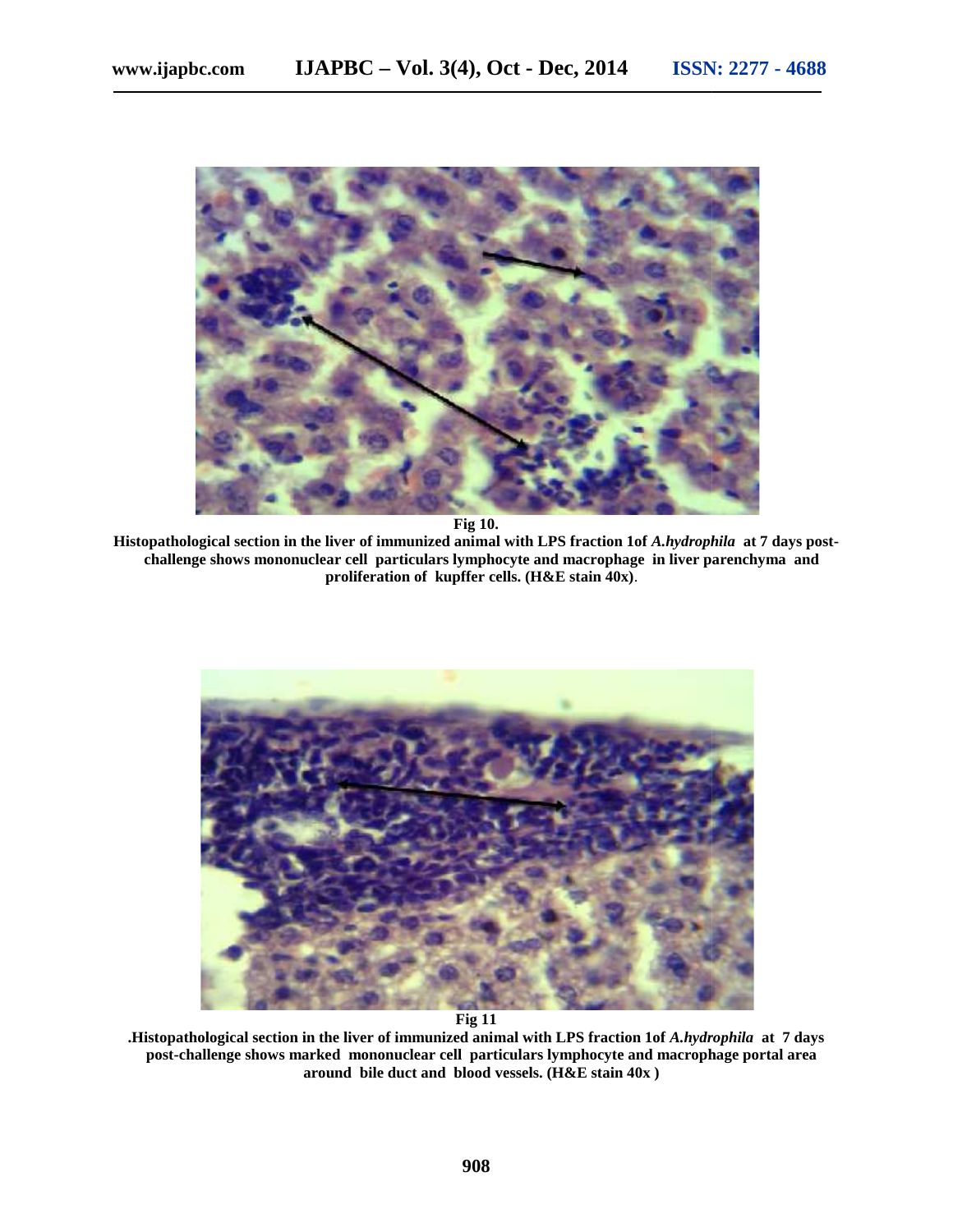

**Fig 10.**

**Histopathological section in the liver of immunized animal with LPS fraction 1of** *A.hydrophila* **at 7 days post- Fig 10.section in with LPS challenge shows mononuclear cell particulars lymphocyte and macrophage in liver parenchyma and and andproliferation of kupffer cells. (H&E stain 40x)**. .



**Fig 11**

**.Histopathological section in the liver of immunized animal with LPS fraction 1of** *A.hydrophila* **at 7 days post-challenge shows marked mononuclear cell particulars lymphocyte and macrophage portal area around bile duct and blood vessels. (H&E stain 40x )** f immunized animal with LPS fraction 1of *A.hydrophila* at<br>nuclear cell particulars lymphocyte and macrophage porta<br>duct and blood vessels. (H&E stain 40x )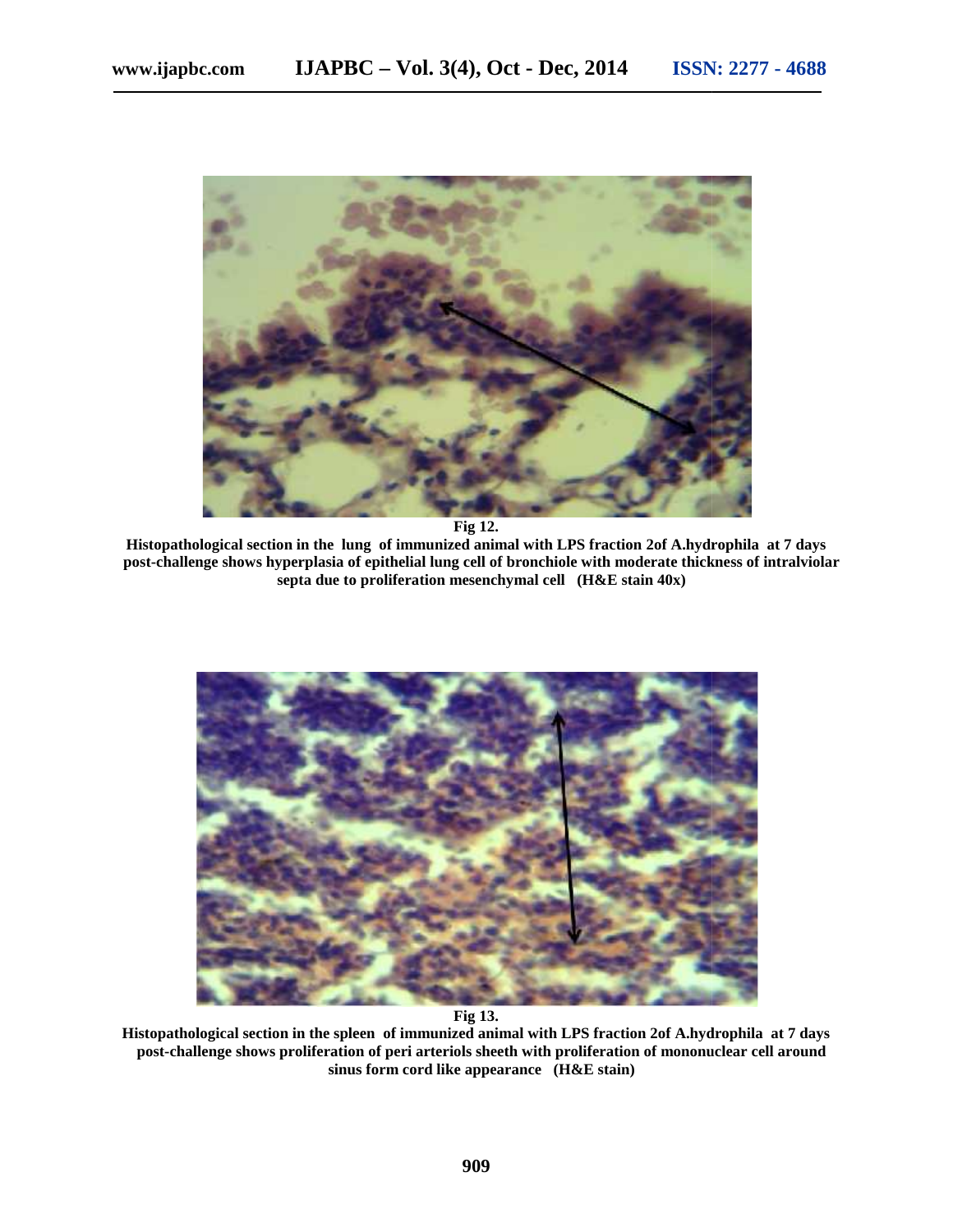

**Fig 12.**

**Histopathological section in the lung of immunized animal with LPS fraction 2of A.hydrophila at 7 days post-challenge shows hyperplasia of epithelial lung cell of bronchiole with moderate thickness of intralviolar septa due to proliferation mesenchymal cell (H&E stain 40x)**



**Fig 13.**

**Histopathological section in the spleen of immunized animal with LPS fraction 2of A.hydrophila at 7 days post-challenge shows proliferation of peri arteriols sheeth with proliferation of mononuclear cell around sinus form cord like appearance (H&E stain)**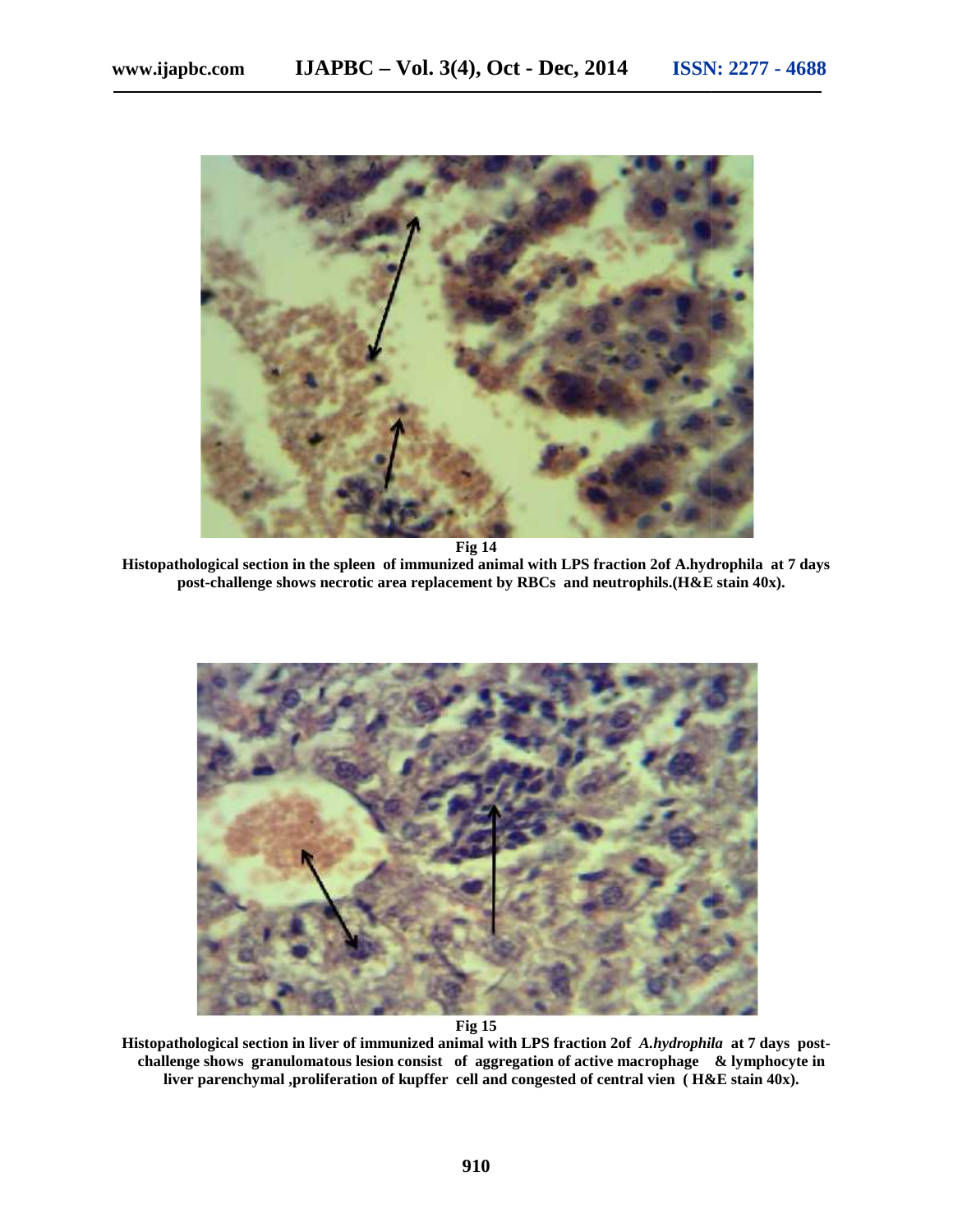

**Fig 14**

**Histopathological section in the spleen of immunized animal with LPS fraction 2of A.hydrophila at 7 days post-challenge shows necrotic area replacement by RBCs and neutrophils.(H&E stain 40x).**



**Fig 15**

**Histopathological section in liver of immunized animal with LPS fraction 2of** *A.hydrophila* **at 7 days post challenge shows granulomatous lesion consist of aggregation of active macrophage & lymphocyte in liver parenchymal ,proliferation of kupffer cell and congested of central vien ( H&E stain 40x).**